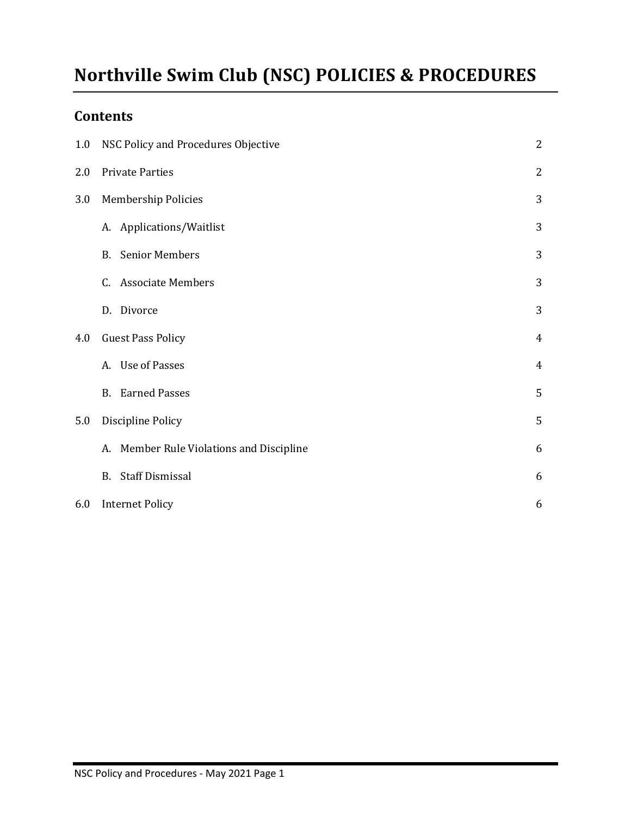# **Northville Swim Club (NSC) POLICIES & PROCEDURES**

# **Contents**

| 1.0 | NSC Policy and Procedures Objective         | 2              |
|-----|---------------------------------------------|----------------|
| 2.0 | <b>Private Parties</b>                      | $\overline{2}$ |
| 3.0 | <b>Membership Policies</b>                  | 3              |
|     | A. Applications/Waitlist                    | 3              |
|     | <b>Senior Members</b><br>B.                 | 3              |
|     | <b>Associate Members</b><br>C.              | 3              |
|     | Divorce<br>D.                               | 3              |
| 4.0 | <b>Guest Pass Policy</b>                    | $\overline{4}$ |
|     | A. Use of Passes                            | $\overline{4}$ |
|     | <b>Earned Passes</b><br><b>B.</b>           | 5              |
| 5.0 | Discipline Policy                           | 5              |
|     | Member Rule Violations and Discipline<br>А. | 6              |
|     | <b>Staff Dismissal</b><br>B.                | 6              |
| 6.0 | <b>Internet Policy</b>                      | 6              |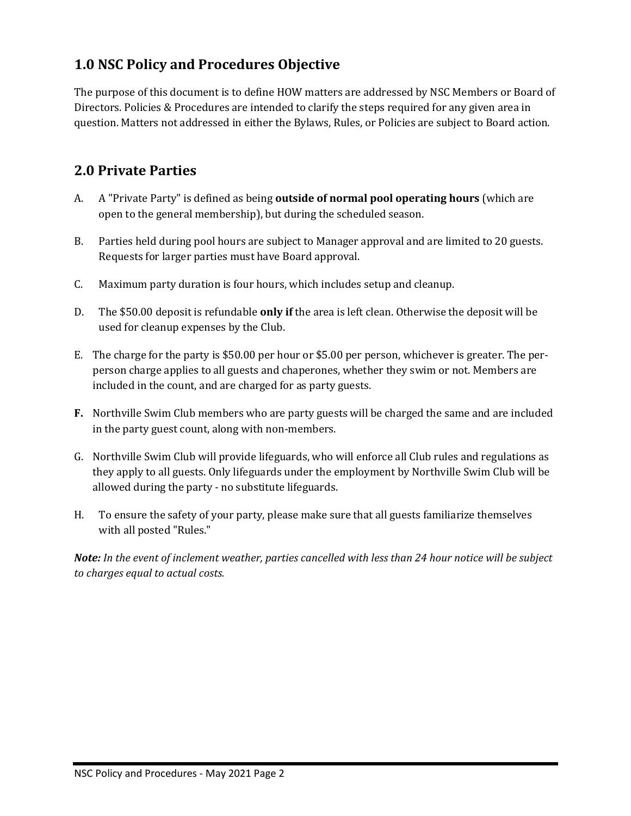# **1.0 NSC Policy and Procedures Objective**

The purpose of this document is to define HOW matters are addressed by NSC Members or Board of Directors. Policies & Procedures are intended to clarify the steps required for any given area in question. Matters not addressed in either the Bylaws, Rules, or Policies are subject to Board action.

# **2.0 Private Parties**

- A. A "Private Party" is defined as being **outside of normal pool operating hours** (which are open to the general membership), but during the scheduled season.
- B. Parties held during pool hours are subject to Manager approval and are limited to 20 guests. Requests for larger parties must have Board approval.
- C. Maximum party duration is four hours, which includes setup and cleanup.
- D. The \$50.00 deposit is refundable **only if** the area is left clean. Otherwise the deposit will be used for cleanup expenses by the Club.
- E. The charge for the party is \$50.00 per hour or \$5.00 per person, whichever is greater. The perperson charge applies to all guests and chaperones, whether they swim or not. Members are included in the count, and are charged for as party guests.
- **F.** Northville Swim Club members who are party guests will be charged the same and are included in the party guest count, along with non-members.
- G. Northville Swim Club will provide lifeguards, who will enforce all Club rules and regulations as they apply to all guests. Only lifeguards under the employment by Northville Swim Club will be allowed during the party - no substitute lifeguards.
- H. To ensure the safety of your party, please make sure that all guests familiarize themselves with all posted "Rules."

*Note: In the event of inclement weather, parties cancelled with less than 24 hour notice will be subject to charges equal to actual costs.*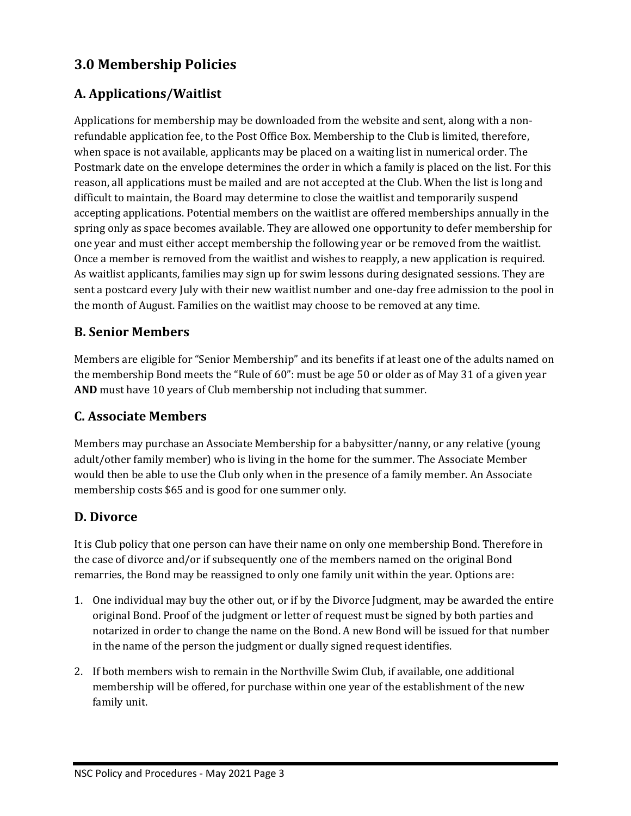# **3.0 Membership Policies**

#### **A. Applications/Waitlist**

Applications for membership may be downloaded from the website and sent, along with a nonrefundable application fee, to the Post Office Box. Membership to the Club is limited, therefore, when space is not available, applicants may be placed on a waiting list in numerical order. The Postmark date on the envelope determines the order in which a family is placed on the list. For this reason, all applications must be mailed and are not accepted at the Club. When the list is long and difficult to maintain, the Board may determine to close the waitlist and temporarily suspend accepting applications. Potential members on the waitlist are offered memberships annually in the spring only as space becomes available. They are allowed one opportunity to defer membership for one year and must either accept membership the following year or be removed from the waitlist. Once a member is removed from the waitlist and wishes to reapply, a new application is required. As waitlist applicants, families may sign up for swim lessons during designated sessions. They are sent a postcard every July with their new waitlist number and one-day free admission to the pool in the month of August. Families on the waitlist may choose to be removed at any time.

#### **B. Senior Members**

Members are eligible for "Senior Membership" and its benefits if at least one of the adults named on the membership Bond meets the "Rule of 60": must be age 50 or older as of May 31 of a given year **AND** must have 10 years of Club membership not including that summer.

#### **C. Associate Members**

Members may purchase an Associate Membership for a babysitter/nanny, or any relative (young adult/other family member) who is living in the home for the summer. The Associate Member would then be able to use the Club only when in the presence of a family member. An Associate membership costs \$65 and is good for one summer only.

#### **D. Divorce**

It is Club policy that one person can have their name on only one membership Bond. Therefore in the case of divorce and/or if subsequently one of the members named on the original Bond remarries, the Bond may be reassigned to only one family unit within the year. Options are:

- 1. One individual may buy the other out, or if by the Divorce Judgment, may be awarded the entire original Bond. Proof of the judgment or letter of request must be signed by both parties and notarized in order to change the name on the Bond. A new Bond will be issued for that number in the name of the person the judgment or dually signed request identifies.
- 2. If both members wish to remain in the Northville Swim Club, if available, one additional membership will be offered, for purchase within one year of the establishment of the new family unit.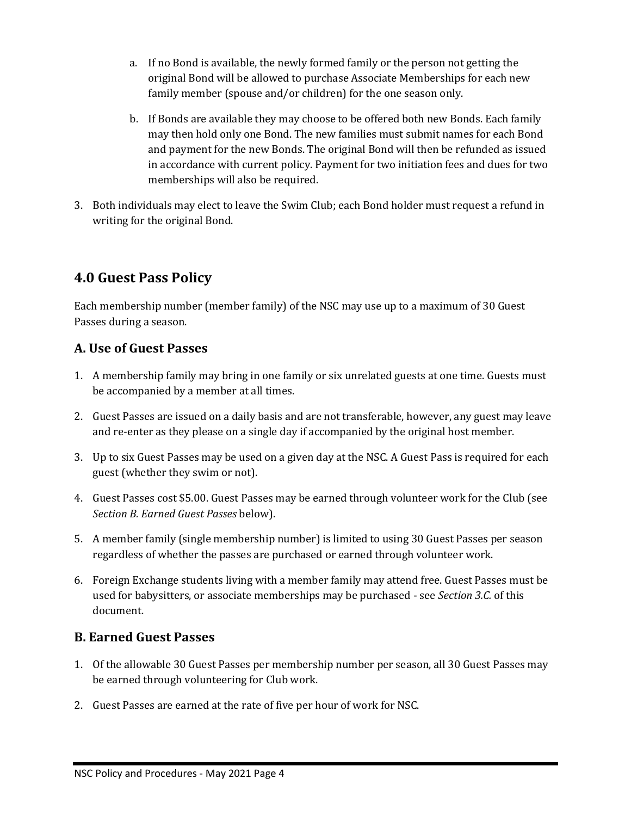- a. If no Bond is available, the newly formed family or the person not getting the original Bond will be allowed to purchase Associate Memberships for each new family member (spouse and/or children) for the one season only.
- b. If Bonds are available they may choose to be offered both new Bonds. Each family may then hold only one Bond. The new families must submit names for each Bond and payment for the new Bonds. The original Bond will then be refunded as issued in accordance with current policy. Payment for two initiation fees and dues for two memberships will also be required.
- 3. Both individuals may elect to leave the Swim Club; each Bond holder must request a refund in writing for the original Bond.

# **4.0 Guest Pass Policy**

Each membership number (member family) of the NSC may use up to a maximum of 30 Guest Passes during a season.

#### **A. Use of Guest Passes**

- 1. A membership family may bring in one family or six unrelated guests at one time. Guests must be accompanied by a member at all times.
- 2. Guest Passes are issued on a daily basis and are not transferable, however, any guest may leave and re-enter as they please on a single day if accompanied by the original host member.
- 3. Up to six Guest Passes may be used on a given day at the NSC. A Guest Pass is required for each guest (whether they swim or not).
- 4. Guest Passes cost \$5.00. Guest Passes may be earned through volunteer work for the Club (see *Section B. Earned Guest Passes* below).
- 5. A member family (single membership number) is limited to using 30 Guest Passes per season regardless of whether the passes are purchased or earned through volunteer work.
- 6. Foreign Exchange students living with a member family may attend free. Guest Passes must be used for babysitters, or associate memberships may be purchased - see *Section 3.C.* of this document.

#### **B. Earned Guest Passes**

- 1. Of the allowable 30 Guest Passes per membership number per season, all 30 Guest Passes may be earned through volunteering for Club work.
- 2. Guest Passes are earned at the rate of five per hour of work for NSC.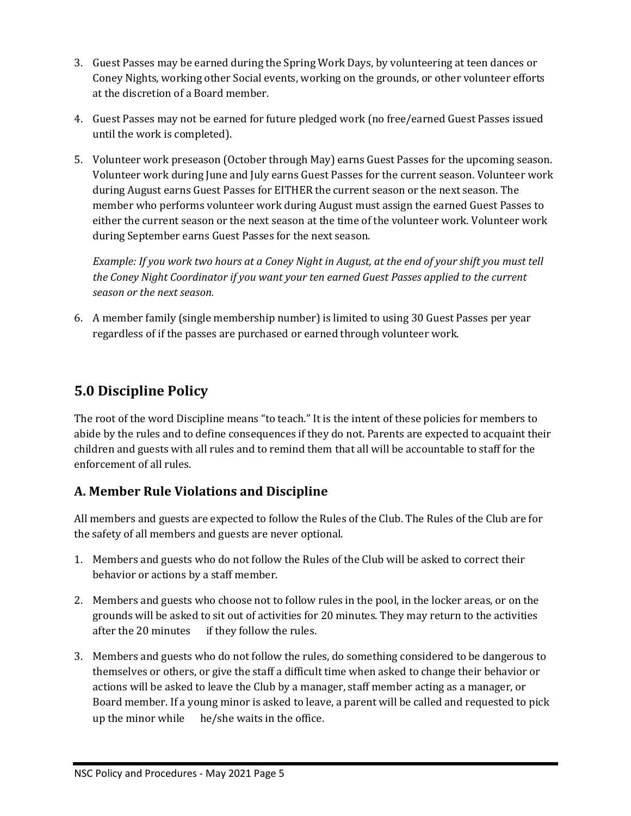- 3. Guest Passes may be earned during the Spring Work Days, by volunteering at teen dances or Coney Nights, working other Social events, working on the grounds, or other volunteer efforts at the discretion of a Board member.
- 4. Guest Passes may not be earned for future pledged work (no free/earned Guest Passes issued until the work is completed).
- 5. Volunteer work preseason (October through May) earns Guest Passes for the upcoming season. Volunteer work during June and July earns Guest Passes for the current season. Volunteer work during August earns Guest Passes for EITHER the current season or the next season. The member who performs volunteer work during August must assign the earned Guest Passes to either the current season or the next season at the time of the volunteer work. Volunteer work during September earns Guest Passes for the next season.

*Example: If you work two hours at a Coney Night in August, at the end of your shift you must tell the Coney Night Coordinator if you want your ten earned Guest Passes applied to the current season or the next season.*

6. A member family (single membership number) is limited to using 30 Guest Passes per year regardless of if the passes are purchased or earned through volunteer work.

# **5.0 Discipline Policy**

The root of the word Discipline means "to teach." It is the intent of these policies for members to abide by the rules and to define consequences if they do not. Parents are expected to acquaint their children and guests with all rules and to remind them that all will be accountable to staff for the enforcement of all rules.

#### **A. Member Rule Violations and Discipline**

All members and guests are expected to follow the Rules of the Club. The Rules of the Club are for the safety of all members and guests are never optional.

- 1. Members and guests who do not follow the Rules of the Club will be asked to correct their behavior or actions by a staff member.
- 2. Members and guests who choose not to follow rules in the pool, in the locker areas, or on the grounds will be asked to sit out of activities for 20 minutes. They may return to the activities after the 20 minutes if they follow the rules.
- 3. Members and guests who do not follow the rules, do something considered to be dangerous to themselves or others, or give the staff a difficult time when asked to change their behavior or actions will be asked to leave the Club by a manager, staff member acting as a manager, or Board member. If a young minor is asked to leave, a parent will be called and requested to pick up the minor while he/she waits in the office.